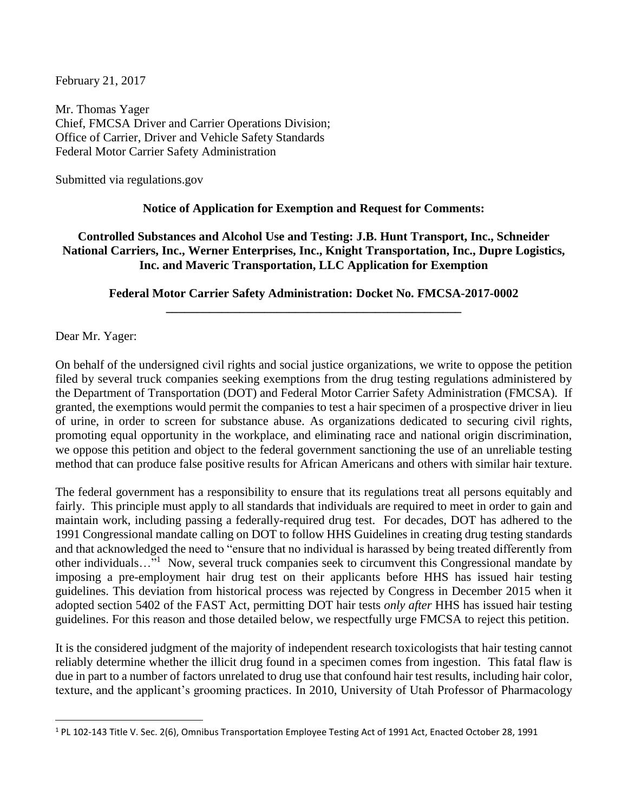February 21, 2017

Mr. Thomas Yager Chief, FMCSA Driver and Carrier Operations Division; Office of Carrier, Driver and Vehicle Safety Standards Federal Motor Carrier Safety Administration

Submitted via regulations.gov

## **Notice of Application for Exemption and Request for Comments:**

## **Controlled Substances and Alcohol Use and Testing: J.B. Hunt Transport, Inc., Schneider National Carriers, Inc., Werner Enterprises, Inc., Knight Transportation, Inc., Dupre Logistics, Inc. and Maveric Transportation, LLC Application for Exemption**

## **Federal Motor Carrier Safety Administration: Docket No. FMCSA-2017-0002 \_\_\_\_\_\_\_\_\_\_\_\_\_\_\_\_\_\_\_\_\_\_\_\_\_\_\_\_\_\_\_\_\_\_\_\_\_\_\_\_\_\_\_\_\_\_\_\_**

Dear Mr. Yager:

 $\overline{\phantom{a}}$ 

On behalf of the undersigned civil rights and social justice organizations, we write to oppose the petition filed by several truck companies seeking exemptions from the drug testing regulations administered by the Department of Transportation (DOT) and Federal Motor Carrier Safety Administration (FMCSA). If granted, the exemptions would permit the companies to test a hair specimen of a prospective driver in lieu of urine, in order to screen for substance abuse. As organizations dedicated to securing civil rights, promoting equal opportunity in the workplace, and eliminating race and national origin discrimination, we oppose this petition and object to the federal government sanctioning the use of an unreliable testing method that can produce false positive results for African Americans and others with similar hair texture.

The federal government has a responsibility to ensure that its regulations treat all persons equitably and fairly. This principle must apply to all standards that individuals are required to meet in order to gain and maintain work, including passing a federally-required drug test. For decades, DOT has adhered to the 1991 Congressional mandate calling on DOT to follow HHS Guidelines in creating drug testing standards and that acknowledged the need to "ensure that no individual is harassed by being treated differently from other individuals..."<sup>1</sup> Now, several truck companies seek to circumvent this Congressional mandate by imposing a pre-employment hair drug test on their applicants before HHS has issued hair testing guidelines. This deviation from historical process was rejected by Congress in December 2015 when it adopted section 5402 of the FAST Act, permitting DOT hair tests *only after* HHS has issued hair testing guidelines. For this reason and those detailed below, we respectfully urge FMCSA to reject this petition.

It is the considered judgment of the majority of independent research toxicologists that hair testing cannot reliably determine whether the illicit drug found in a specimen comes from ingestion. This fatal flaw is due in part to a number of factors unrelated to drug use that confound hair test results, including hair color, texture, and the applicant's grooming practices. In 2010, University of Utah Professor of Pharmacology

<sup>1</sup> PL 102-143 Title V. Sec. 2(6), Omnibus Transportation Employee Testing Act of 1991 Act, Enacted October 28, 1991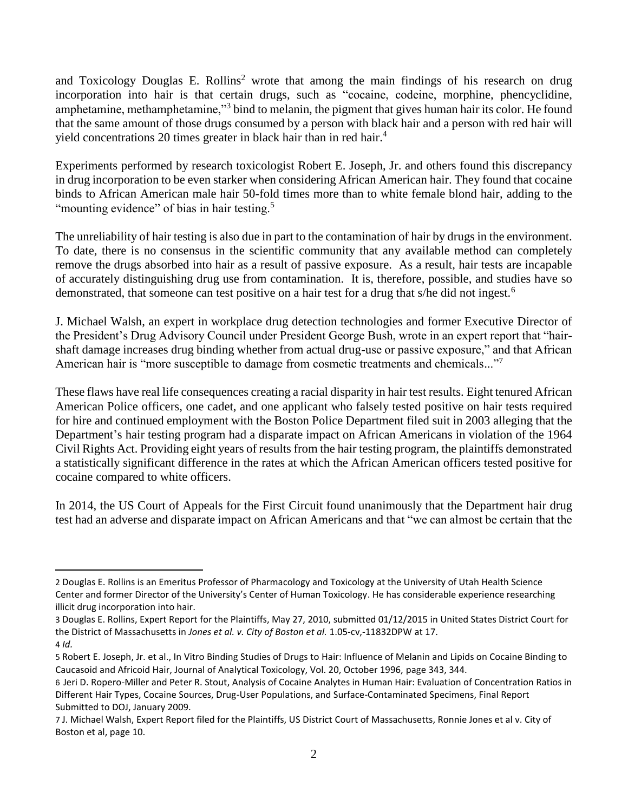and Toxicology Douglas E. Rollins<sup>2</sup> wrote that among the main findings of his research on drug incorporation into hair is that certain drugs, such as "cocaine, codeine, morphine, phencyclidine, amphetamine, methamphetamine,"<sup>3</sup> bind to melanin, the pigment that gives human hair its color. He found that the same amount of those drugs consumed by a person with black hair and a person with red hair will yield concentrations 20 times greater in black hair than in red hair.<sup>4</sup>

Experiments performed by research toxicologist Robert E. Joseph, Jr. and others found this discrepancy in drug incorporation to be even starker when considering African American hair. They found that cocaine binds to African American male hair 50-fold times more than to white female blond hair, adding to the "mounting evidence" of bias in hair testing.<sup>5</sup>

The unreliability of hair testing is also due in part to the contamination of hair by drugs in the environment. To date, there is no consensus in the scientific community that any available method can completely remove the drugs absorbed into hair as a result of passive exposure. As a result, hair tests are incapable of accurately distinguishing drug use from contamination. It is, therefore, possible, and studies have so demonstrated, that someone can test positive on a hair test for a drug that s/he did not ingest.<sup>6</sup>

J. Michael Walsh, an expert in workplace drug detection technologies and former Executive Director of the President's Drug Advisory Council under President George Bush, wrote in an expert report that "hairshaft damage increases drug binding whether from actual drug-use or passive exposure," and that African American hair is "more susceptible to damage from cosmetic treatments and chemicals..."<sup>7</sup>

These flaws have real life consequences creating a racial disparity in hair test results. Eight tenured African American Police officers, one cadet, and one applicant who falsely tested positive on hair tests required for hire and continued employment with the Boston Police Department filed suit in 2003 alleging that the Department's hair testing program had a disparate impact on African Americans in violation of the 1964 Civil Rights Act. Providing eight years of results from the hair testing program, the plaintiffs demonstrated a statistically significant difference in the rates at which the African American officers tested positive for cocaine compared to white officers.

In 2014, the US Court of Appeals for the First Circuit found unanimously that the Department hair drug test had an adverse and disparate impact on African Americans and that "we can almost be certain that the

 $\overline{a}$ 

<sup>2</sup> Douglas E. Rollins is an Emeritus Professor of Pharmacology and Toxicology at the University of Utah Health Science Center and former Director of the University's Center of Human Toxicology. He has considerable experience researching illicit drug incorporation into hair.

<sup>3</sup> Douglas E. Rollins, Expert Report for the Plaintiffs, May 27, 2010, submitted 01/12/2015 in United States District Court for the District of Massachusetts in *Jones et al. v. City of Boston et al.* 1.05-cv,-11832DPW at 17. 4 *Id.*

<sup>5</sup> Robert E. Joseph, Jr. et al., In Vitro Binding Studies of Drugs to Hair: Influence of Melanin and Lipids on Cocaine Binding to Caucasoid and Africoid Hair, Journal of Analytical Toxicology, Vol. 20, October 1996, page 343, 344.

<sup>6</sup> Jeri D. Ropero-Miller and Peter R. Stout, Analysis of Cocaine Analytes in Human Hair: Evaluation of Concentration Ratios in Different Hair Types, Cocaine Sources, Drug-User Populations, and Surface-Contaminated Specimens, Final Report Submitted to DOJ, January 2009.

<sup>7</sup> J. Michael Walsh, Expert Report filed for the Plaintiffs, US District Court of Massachusetts, Ronnie Jones et al v. City of Boston et al, page 10.